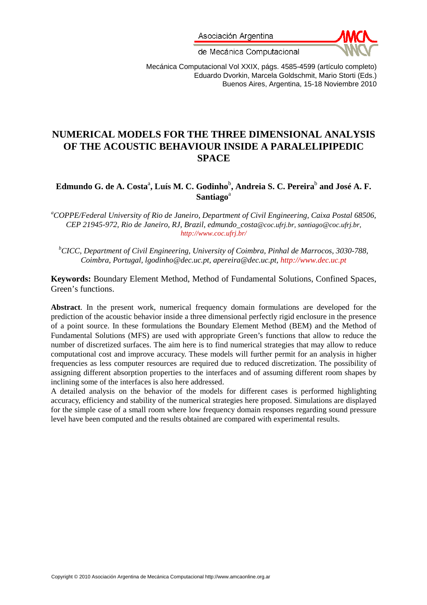Asociación Argentina



de Mecánica Computacional

Mecánica Computacional Vol XXIX, págs. 4585-4599 (artículo completo) Eduardo Dvorkin, Marcela Goldschmit, Mario Storti (Eds.) Buenos Aires, Argentina, 15-18 Noviembre 2010

# **NUMERICAL MODELS FOR THE THREE DIMENSIONAL ANALYSIS OF THE ACOUSTIC BEHAVIOUR INSIDE A PARALELIPIPEDIC SPACE**

Edmundo G. de A. Costaª, Luís M. C. Godinho<sup>b</sup>, Andreia S. C. Pereira<sup>b</sup> and José A. F. **Santiago**<sup>a</sup>

*<sup>a</sup>COPPE/Federal University of Rio de Janeiro, Department of Civil Engineering, Caixa Postal 68506, CEP 21945-972, Rio de Janeiro, RJ, Brazil, edmundo\_costa@coc.ufrj.br, santiago@coc.ufrj.br, http://www.coc.ufrj.br/*

*<sup>b</sup>CICC, Department of Civil Engineering, University of Coimbra, Pinhal de Marrocos, 3030-788, Coimbra, Portugal, lgodinho@dec.uc.pt, apereira@dec.uc.pt, http://www.dec.uc.pt*

**Keywords:** Boundary Element Method, Method of Fundamental Solutions, Confined Spaces, Green's functions.

**Abstract**. In the present work, numerical frequency domain formulations are developed for the prediction of the acoustic behavior inside a three dimensional perfectly rigid enclosure in the presence of a point source. In these formulations the Boundary Element Method (BEM) and the Method of Fundamental Solutions (MFS) are used with appropriate Green's functions that allow to reduce the number of discretized surfaces. The aim here is to find numerical strategies that may allow to reduce computational cost and improve accuracy. These models will further permit for an analysis in higher frequencies as less computer resources are required due to reduced discretization. The possibility of assigning different absorption properties to the interfaces and of assuming different room shapes by inclining some of the interfaces is also here addressed.

A detailed analysis on the behavior of the models for different cases is performed highlighting accuracy, efficiency and stability of the numerical strategies here proposed. Simulations are displayed for the simple case of a small room where low frequency domain responses regarding sound pressure level have been computed and the results obtained are compared with experimental results.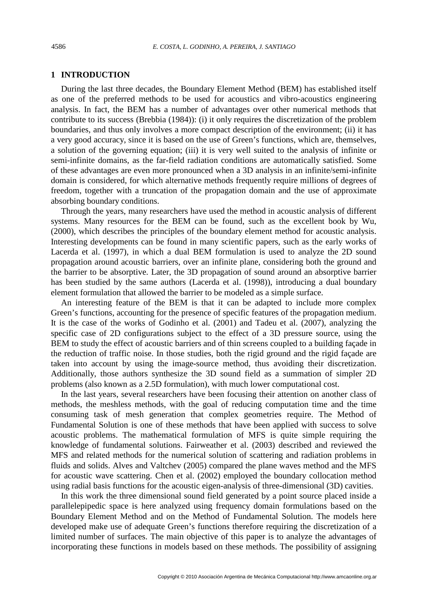# **1 INTRODUCTION**

During the last three decades, the Boundary Element Method (BEM) has established itself as one of the preferred methods to be used for acoustics and vibro-acoustics engineering analysis. In fact, the BEM has a number of advantages over other numerical methods that contribute to its success (Brebbia (1984)): (i) it only requires the discretization of the problem boundaries, and thus only involves a more compact description of the environment; (ii) it has a very good accuracy, since it is based on the use of Green's functions, which are, themselves, a solution of the governing equation; (iii) it is very well suited to the analysis of infinite or semi-infinite domains, as the far-field radiation conditions are automatically satisfied. Some of these advantages are even more pronounced when a 3D analysis in an infinite/semi-infinite domain is considered, for which alternative methods frequently require millions of degrees of freedom, together with a truncation of the propagation domain and the use of approximate absorbing boundary conditions.

Through the years, many researchers have used the method in acoustic analysis of different systems. Many resources for the BEM can be found, such as the excellent book by Wu, (2000), which describes the principles of the boundary element method for acoustic analysis. Interesting developments can be found in many scientific papers, such as the early works of Lacerda et al. (1997), in which a dual BEM formulation is used to analyze the 2D sound propagation around acoustic barriers, over an infinite plane, considering both the ground and the barrier to be absorptive. Later, the 3D propagation of sound around an absorptive barrier has been studied by the same authors (Lacerda et al. (1998)), introducing a dual boundary element formulation that allowed the barrier to be modeled as a simple surface.

An interesting feature of the BEM is that it can be adapted to include more complex Green's functions, accounting for the presence of specific features of the propagation medium. It is the case of the works of Godinho et al. (2001) and Tadeu et al. (2007), analyzing the specific case of 2D configurations subject to the effect of a 3D pressure source, using the BEM to study the effect of acoustic barriers and of thin screens coupled to a building façade in the reduction of traffic noise. In those studies, both the rigid ground and the rigid façade are taken into account by using the image-source method, thus avoiding their discretization. Additionally, those authors synthesize the 3D sound field as a summation of simpler 2D problems (also known as a 2.5D formulation), with much lower computational cost.

In the last years, several researchers have been focusing their attention on another class of methods, the meshless methods, with the goal of reducing computation time and the time consuming task of mesh generation that complex geometries require. The Method of Fundamental Solution is one of these methods that have been applied with success to solve acoustic problems. The mathematical formulation of MFS is quite simple requiring the knowledge of fundamental solutions. Fairweather et al. (2003) described and reviewed the MFS and related methods for the numerical solution of scattering and radiation problems in fluids and solids. Alves and Valtchev (2005) compared the plane waves method and the MFS for acoustic wave scattering. Chen et al. (2002) employed the boundary collocation method using radial basis functions for the acoustic eigen-analysis of three-dimensional (3D) cavities.

In this work the three dimensional sound field generated by a point source placed inside a parallelepipedic space is here analyzed using frequency domain formulations based on the Boundary Element Method and on the Method of Fundamental Solution. The models here developed make use of adequate Green's functions therefore requiring the discretization of a limited number of surfaces. The main objective of this paper is to analyze the advantages of incorporating these functions in models based on these methods. The possibility of assigning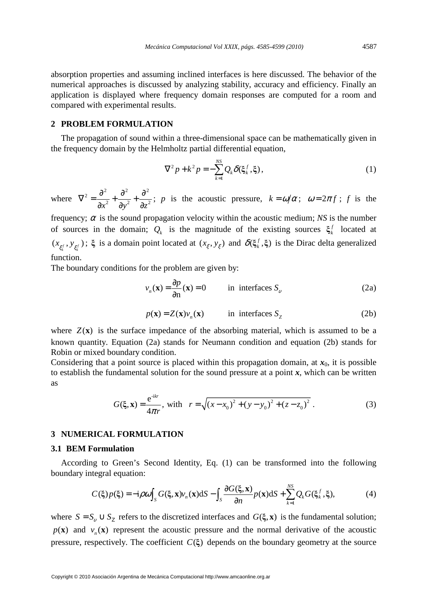absorption properties and assuming inclined interfaces is here discussed. The behavior of the numerical approaches is discussed by analyzing stability, accuracy and efficiency. Finally an application is displayed where frequency domain responses are computed for a room and compared with experimental results.

# **2 PROBLEM FORMULATION**

The propagation of sound within a three-dimensional space can be mathematically given in the frequency domain by the Helmholtz partial differential equation,

$$
\nabla^2 p + k^2 p = -\sum_{k=1}^{N} Q_k \delta(\xi_k^f, \xi), \qquad (1)
$$

where  $\partial^2$   $\partial^2$   $\partial^2$   $\partial^2$  $x^2$   $\partial y^2$   $\partial z^2$  $\nabla^2 = \frac{\partial^2}{\partial^2} + \frac{\partial^2}{\partial^2} + \frac{\partial}{\partial}$  $\partial x^2$   $\partial y^2$   $\partial$ ; *p* is the acoustic pressure,  $k = \omega/\alpha$ ;  $\omega = 2\pi f$ ; *f* is the

frequency;  $\alpha$  is the sound propagation velocity within the acoustic medium; *NS* is the number of sources in the domain;  $Q_k$  is the magnitude of the existing sources  $\xi_k^f$  located at  $(x_{\xi_k}, y_{\xi_k})$ ;  $\xi$  is a domain point located at  $(x_{\xi}, y_{\xi})$  and  $\delta(\xi_k^f, \xi)$  is the Dirac delta generalized function.

The boundary conditions for the problem are given by:

$$
v_n(\mathbf{x}) = \frac{\partial p}{\partial n}(\mathbf{x}) = 0 \qquad \text{in interfaces } S_v \tag{2a}
$$

$$
p(\mathbf{x}) = Z(\mathbf{x})v_n(\mathbf{x}) \qquad \text{in interfaces } S_z \tag{2b}
$$

where  $Z(x)$  is the surface impedance of the absorbing material, which is assumed to be a known quantity. Equation (2a) stands for Neumann condition and equation (2b) stands for Robin or mixed boundary condition.

Considering that a point source is placed within this propagation domain, at  $x_0$ , it is possible to establish the fundamental solution for the sound pressure at a point *x*, which can be written as

$$
G(\xi, \mathbf{x}) = \frac{e^{-ikr}}{4\pi r}, \text{ with } r = \sqrt{(x - x_0)^2 + (y - y_0)^2 + (z - z_0)^2}.
$$
 (3)

### **3 NUMERICAL FORMULATION**

#### **3.1 BEM Formulation**

According to Green's Second Identity, Eq. (1) can be transformed into the following boundary integral equation:

$$
C(\xi)p(\xi) = -i\rho\omega \int_{S} G(\xi, \mathbf{x})v_{n}(\mathbf{x}) dS - \int_{S} \frac{\partial G(\xi, \mathbf{x})}{\partial n} p(\mathbf{x}) dS + \sum_{k=1}^{NS} Q_{k} G(\xi_{k}^{f}, \xi),
$$
(4)

where  $S = S_v \cup S_z$  refers to the discretized interfaces and  $G(\xi, \mathbf{x})$  is the fundamental solution;  $p(\mathbf{x})$  and  $v_n(\mathbf{x})$  represent the acoustic pressure and the normal derivative of the acoustic pressure, respectively. The coefficient  $C(\xi)$  depends on the boundary geometry at the source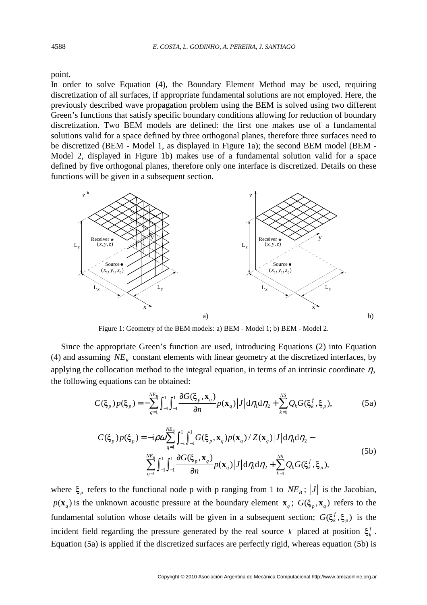point.

In order to solve Equation (4), the Boundary Element Method may be used, requiring discretization of all surfaces, if appropriate fundamental solutions are not employed. Here, the previously described wave propagation problem using the BEM is solved using two different Green's functions that satisfy specific boundary conditions allowing for reduction of boundary discretization. Two BEM models are defined: the first one makes use of a fundamental solutions valid for a space defined by three orthogonal planes, therefore three surfaces need to be discretized (BEM - Model 1, as displayed in Figure 1a); the second BEM model (BEM - Model 2, displayed in Figure 1b) makes use of a fundamental solution valid for a space defined by five orthogonal planes, therefore only one interface is discretized. Details on these functions will be given in a subsequent section.



Figure 1: Geometry of the BEM models: a) BEM - Model 1; b) BEM - Model 2.

Since the appropriate Green's function are used, introducing Equations (2) into Equation (4) and assuming  $NE<sub>B</sub>$  constant elements with linear geometry at the discretized interfaces, by applying the collocation method to the integral equation, in terms of an intrinsic coordinate  $\eta$ , the following equations can be obtained:

$$
C(\xi_p)p(\xi_p) = -\sum_{q=1}^{NE_B} \int_{-1}^1 \int_{-1}^1 \frac{\partial G(\xi_p, \mathbf{x}_q)}{\partial n} p(\mathbf{x}_q) |J| \, d\eta_1 d\eta_2 + \sum_{k=1}^{NS} Q_k G(\xi_k^f, \xi_p),\tag{5a}
$$

$$
C(\xi_p) p(\xi_p) = -i \rho \omega \sum_{q=1}^{NE_B} \int_{-1}^{1} \int_{-1}^{1} G(\xi_p, \mathbf{x}_q) p(\mathbf{x}_q) / Z(\mathbf{x}_q) |J| d\eta_1 d\eta_2 -
$$
  

$$
\sum_{q=1}^{NE_B} \int_{-1}^{1} \int_{-1}^{1} \frac{\partial G(\xi_p, \mathbf{x}_q)}{\partial n} p(\mathbf{x}_q) |J| d\eta_1 d\eta_2 + \sum_{k=1}^{NS} Q_k G(\xi_k^f, \xi_p),
$$
 (5b)

where  $\xi_p$  refers to the functional node p with p ranging from 1 to  $NE_B$ ;  $|J|$  is the Jacobian,  $p(\mathbf{x}_q)$  is the unknown acoustic pressure at the boundary element  $\mathbf{x}_q$ ;  $G(\xi_p, \mathbf{x}_q)$  refers to the fundamental solution whose details will be given in a subsequent section;  $G(\xi_k^f, \xi_n)$  is the incident field regarding the pressure generated by the real source *k* placed at position  $\xi_k$ *k* . Equation (5a) is applied if the discretized surfaces are perfectly rigid, whereas equation (5b) is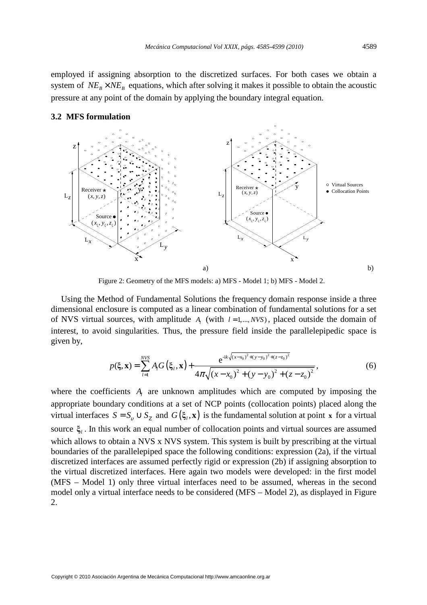pressure at any point of the domain by applying the boundary integral equation.

employed if assigning absorption to the discretized surfaces. For both cases we obtain a system of  $NE_B \times NE_B$  equations, which after solving it makes it possible to obtain the acoustic



#### Figure 2: Geometry of the MFS models: a) MFS - Model 1; b) MFS - Model 2.

Using the Method of Fundamental Solutions the frequency domain response inside a three dimensional enclosure is computed as a linear combination of fundamental solutions for a set of NVS virtual sources, with amplitude  $A_i$  (with  $l = 1,..., NVS$ ), placed outside the domain of interest, to avoid singularities. Thus, the pressure field inside the parallelepipedic space is given by,

$$
p(\xi, \mathbf{x}) = \sum_{l=1}^{NVS} A_l G(\xi_l, \mathbf{x}) + \frac{e^{-ik\sqrt{(x-x_0)^2 + (y-y_0)^2 + (z-z_0)^2}}}{4\pi\sqrt{(x-x_0)^2 + (y-y_0)^2 + (z-z_0)^2}},
$$
(6)

where the coefficients  $A_i$  are unknown amplitudes which are computed by imposing the appropriate boundary conditions at a set of NCP points (collocation points) placed along the virtual interfaces  $S = S_v \cup S_z$  and  $G(\xi_i, \mathbf{x})$  is the fundamental solution at point **x** for a virtual source **ξ***<sup>l</sup>* . In this work an equal number of collocation points and virtual sources are assumed which allows to obtain a NVS x NVS system. This system is built by prescribing at the virtual boundaries of the parallelepiped space the following conditions: expression (2a), if the virtual discretized interfaces are assumed perfectly rigid or expression (2b) if assigning absorption to the virtual discretized interfaces. Here again two models were developed: in the first model (MFS – Model 1) only three virtual interfaces need to be assumed, whereas in the second model only a virtual interface needs to be considered (MFS – Model 2), as displayed in Figure 2.

#### *Mecánica Computacional Vol XXIX, págs. 4585-4599 (2010)* 4589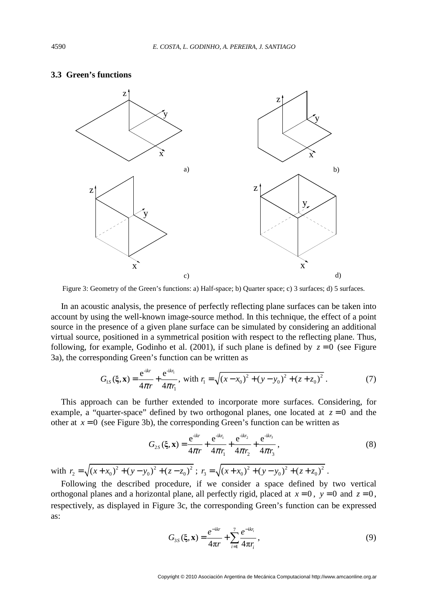

#### **3.3 Green's functions**

Figure 3: Geometry of the Green's functions: a) Half-space; b) Quarter space; c) 3 surfaces; d) 5 surfaces.

In an acoustic analysis, the presence of perfectly reflecting plane surfaces can be taken into account by using the well-known image-source method. In this technique, the effect of a point source in the presence of a given plane surface can be simulated by considering an additional virtual source, positioned in a symmetrical position with respect to the reflecting plane. Thus, following, for example, Godinho et al. (2001), if such plane is defined by  $z = 0$  (see Figure 3a), the corresponding Green's function can be written as

$$
G_{1s}(\xi, \mathbf{x}) = \frac{e^{-ikr}}{4\pi r} + \frac{e^{-ikr_1}}{4\pi r_1}, \text{ with } r_1 = \sqrt{(x - x_0)^2 + (y - y_0)^2 + (z + z_0)^2}.
$$
 (7)

This approach can be further extended to incorporate more surfaces. Considering, for example, a "quarter-space" defined by two orthogonal planes, one located at  $z = 0$  and the other at  $x = 0$  (see Figure 3b), the corresponding Green's function can be written as

$$
G_{2S}(\xi, \mathbf{x}) = \frac{e^{-ikr}}{4\pi r} + \frac{e^{-ikr_1}}{4\pi r_1} + \frac{e^{-ikr_2}}{4\pi r_2} + \frac{e^{-ikr_3}}{4\pi r_3},
$$
(8)

with  $r_2 = \sqrt{(x + x_0)^2 + (y - y_0)^2 + (z - z_0)^2}$ ;  $r_3 = \sqrt{(x + x_0)^2 + (y - y_0)^2 + (z + z_0)^2}$ .

Following the described procedure, if we consider a space defined by two vertical orthogonal planes and a horizontal plane, all perfectly rigid, placed at  $x = 0$ ,  $y = 0$  and  $z = 0$ , respectively, as displayed in Figure 3c, the corresponding Green's function can be expressed as:

$$
G_{3S}(\xi, \mathbf{x}) = \frac{e^{-ikr}}{4\pi r} + \sum_{i=1}^{7} \frac{e^{-ikr_i}}{4\pi r_i},
$$
\n(9)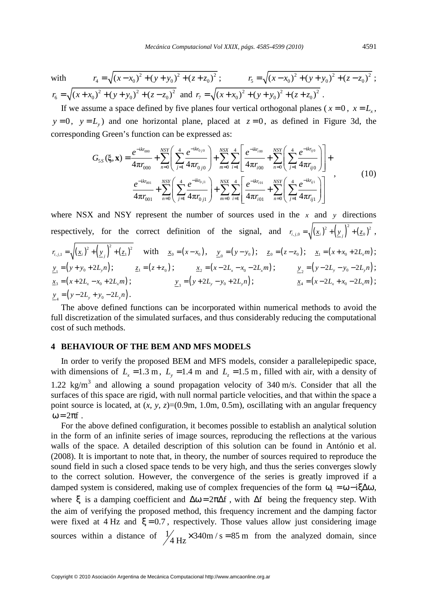with 
$$
r_4 = \sqrt{(x - x_0)^2 + (y + y_0)^2 + (z + z_0)^2}
$$
;  $r_5 = \sqrt{(x - x_0)^2 + (y + y_0)^2 + (z - z_0)^2}$ ;  
\n $r_6 = \sqrt{(x + x_0)^2 + (y + y_0)^2 + (z - z_0)^2}$  and  $r_7 = \sqrt{(x + x_0)^2 + (y + y_0)^2 + (z + z_0)^2}$ .

If we assume a space defined by five planes four vertical orthogonal planes ( $x = 0$ ,  $x = L_x$ ,  $y = 0$ ,  $y = L_y$  and one horizontal plane, placed at  $z = 0$ , as defined in Figure 3d, the corresponding Green's function can be expressed as:

$$
G_{5S}(\xi, \mathbf{x}) = \frac{e^{-ikr_{000}}}{4\pi r_{000}} + \sum_{n=0}^{NSY} \left( \sum_{j=1}^{4} \frac{e^{-ikr_{0j0}}}{4\pi r_{0j0}} \right) + \sum_{m=0}^{NSX} \sum_{i=1}^{4} \left[ \frac{e^{-ikr_{i00}}}{4\pi r_{i00}} + \sum_{n=0}^{NSY} \left( \sum_{j=1}^{4} \frac{e^{-ikr_{ij0}}}{4\pi r_{i00}} \right) \right] + \sum_{n=0}^{MSY} \sum_{i=1}^{4} \left[ \frac{e^{-ikr_{i00}}}{4\pi r_{i01}} + \sum_{n=0}^{NSY} \left( \sum_{j=1}^{4} \frac{e^{-ikr_{ij0}}}{4\pi r_{i01}} \right) \right]
$$
(10)

where NSX and NSY represent the number of sources used in the  $x$  and  $y$  directions respectively, for the correct definition of the signal, and  $r_{i,j,0} = \sqrt{(\underline{x}_i)^2 + (\underline{y}_j)^2 + (\underline{z}_0)^2}$  $r_{i,j,0} = \sqrt{(\underline{x}_i)^2 + (\underline{y}_j)^2 + (\underline{z}_0)^2}$ ,  $(\underline{x}_{i})^{2} + (\underline{y}_{j})^{2} + (\underline{z}_{1})^{2}$  $r_{i,j,1} = \sqrt{(x_i)^2 + (y_j)^2 + (z_1)^2}$  with  $x_0 = (x - x_0), y_0 = (y - y_0); z_0 = (z - z_0); x_1 = (x + x_0 + 2L_x m);$  $y_1 = (y + y_0 + 2L_y n);$   $z_1 = (z + z_0);$   $x_2 = (x - 2L_x - x_0 - 2L_x m);$   $y_2 = (y - 2L_y - y_0 - 2L_y n);$  $\underline{x}_3 = (x + 2L_x - x_0 + 2L_x m);$ <br> $\underline{y}_3 = (y + 2L_y - y_0 + 2L_y n);$ <br> $\underline{x}_4 = (x - 2L_x + x_0 - 2L_x m);$  $y_4 = (y - 2L_y + y_0 - 2L_y n).$ 

The above defined functions can be incorporated within numerical methods to avoid the full discretization of the simulated surfaces, and thus considerably reducing the computational cost of such methods.

# **4 BEHAVIOUR OF THE BEM AND MFS MODELS**

In order to verify the proposed BEM and MFS models, consider a parallelepipedic space, with dimensions of  $L<sub>x</sub> = 1.3$  m,  $L<sub>y</sub> = 1.4$  m and  $L<sub>z</sub> = 1.5$  m, filled with air, with a density of 1.22 kg/m<sup>3</sup> and allowing a sound propagation velocity of 340 m/s. Consider that all the surfaces of this space are rigid, with null normal particle velocities, and that within the space a point source is located, at  $(x, y, z)=(0.9m, 1.0m, 0.5m)$ , oscillating with an angular frequency  $\omega = 2\pi f$ .

For the above defined configuration, it becomes possible to establish an analytical solution in the form of an infinite series of image sources, reproducing the reflections at the various walls of the space. A detailed description of this solution can be found in António et al. (2008). It is important to note that, in theory, the number of sources required to reproduce the sound field in such a closed space tends to be very high, and thus the series converges slowly to the correct solution. However, the convergence of the series is greatly improved if a damped system is considered, making use of complex frequencies of the form  $\omega = \omega - i\xi\Delta\omega$ , where  $\xi$  is a damping coefficient and  $\Delta \omega = 2\pi \Delta f$ , with  $\Delta f$  being the frequency step. With the aim of verifying the proposed method, this frequency increment and the damping factor were fixed at 4 Hz and  $\xi = 0.7$ , respectively. Those values allow just considering image sources within a distance of  $\frac{1}{4}$  Hz  $\times$  340m / s = 85 m from the analyzed domain, since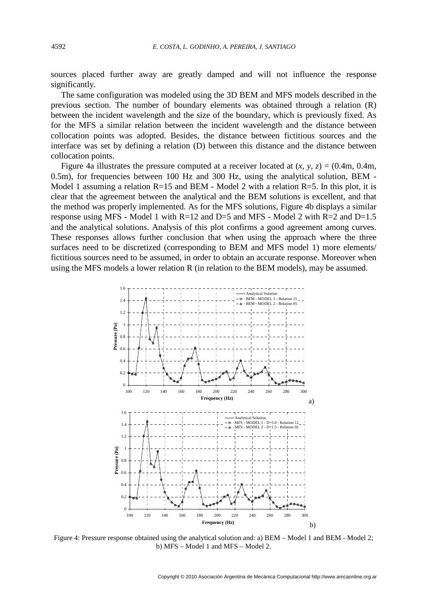sources placed further away are greatly damped and will not influence the response significantly.

The same configuration was modeled using the 3D BEM and MFS models described in the previous section. The number of boundary elements was obtained through a relation (R) between the incident wavelength and the size of the boundary, which is previously fixed. As for the MFS a similar relation between the incident wavelength and the distance between collocation points was adopted. Besides, the distance between fictitious sources and the interface was set by defining a relation (D) between this distance and the distance between collocation points.

Figure 4a illustrates the pressure computed at a receiver located at  $(x, y, z) = (0.4m, 0.4m, ...)$ 0.5m), for frequencies between 100 Hz and 300 Hz, using the analytical solution, BEM - Model 1 assuming a relation  $R=15$  and BEM - Model 2 with a relation  $R=5$ . In this plot, it is clear that the agreement between the analytical and the BEM solutions is excellent, and that the method was properly implemented. As for the MFS solutions, Figure 4b displays a similar response using MFS - Model 1 with  $R=12$  and  $D=5$  and MFS - Model 2 with  $R=2$  and  $D=1.5$ and the analytical solutions. Analysis of this plot confirms a good agreement among curves. These responses allows further conclusion that when using the approach where the three surfaces need to be discretized (corresponding to BEM and MFS model 1) more elements/ fictitious sources need to be assumed, in order to obtain an accurate response. Moreover when using the MFS models a lower relation R (in relation to the BEM models), may be assumed.



Figure 4: Pressure response obtained using the analytical solution and: a) BEM – Model 1 and BEM - Model 2; b) MFS – Model 1 and MFS – Model 2.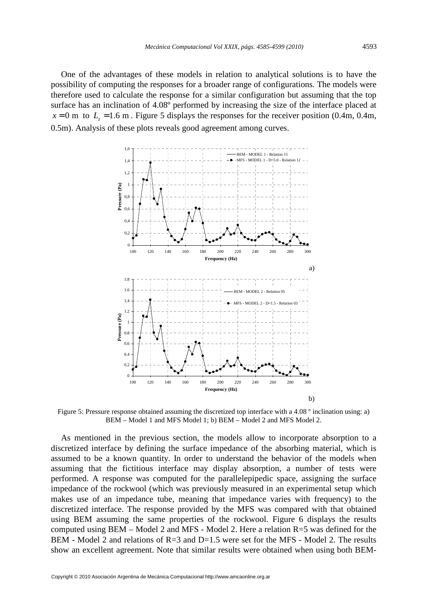One of the advantages of these models in relation to analytical solutions is to have the possibility of computing the responses for a broader range of configurations. The models were therefore used to calculate the response for a similar configuration but assuming that the top surface has an inclination of 4.08º performed by increasing the size of the interface placed at  $x = 0$  m to  $L<sub>z</sub> = 1.6$  m. Figure 5 displays the responses for the receiver position (0.4m, 0.4m, 0.5m). Analysis of these plots reveals good agreement among curves.



Figure 5: Pressure response obtained assuming the discretized top interface with a 4.08 ° inclination using: a) BEM – Model 1 and MFS Model 1; b) BEM – Model 2 and MFS Model 2.

As mentioned in the previous section, the models allow to incorporate absorption to a discretized interface by defining the surface impedance of the absorbing material, which is assumed to be a known quantity. In order to understand the behavior of the models when assuming that the fictitious interface may display absorption, a number of tests were performed. A response was computed for the parallelepipedic space, assigning the surface impedance of the rockwool (which was previously measured in an experimental setup which makes use of an impedance tube, meaning that impedance varies with frequency) to the discretized interface. The response provided by the MFS was compared with that obtained using BEM assuming the same properties of the rockwool. Figure 6 displays the results computed using BEM – Model 2 and MFS - Model 2. Here a relation R=5 was defined for the BEM - Model 2 and relations of  $R=3$  and  $D=1.5$  were set for the MFS - Model 2. The results show an excellent agreement. Note that similar results were obtained when using both BEM-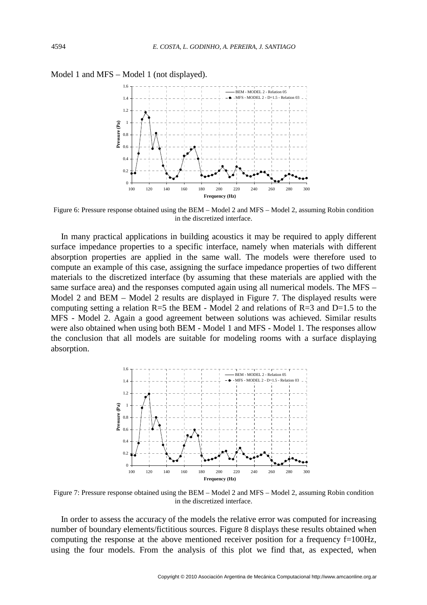

Model 1 and MFS – Model 1 (not displayed).

Figure 6: Pressure response obtained using the BEM – Model 2 and MFS – Model 2, assuming Robin condition in the discretized interface.

In many practical applications in building acoustics it may be required to apply different surface impedance properties to a specific interface, namely when materials with different absorption properties are applied in the same wall. The models were therefore used to compute an example of this case, assigning the surface impedance properties of two different materials to the discretized interface (by assuming that these materials are applied with the same surface area) and the responses computed again using all numerical models. The MFS – Model 2 and BEM – Model 2 results are displayed in Figure 7. The displayed results were computing setting a relation  $R=5$  the BEM - Model 2 and relations of  $R=3$  and  $D=1.5$  to the MFS - Model 2. Again a good agreement between solutions was achieved. Similar results were also obtained when using both BEM - Model 1 and MFS - Model 1. The responses allow the conclusion that all models are suitable for modeling rooms with a surface displaying absorption.



Figure 7: Pressure response obtained using the BEM – Model 2 and MFS – Model 2, assuming Robin condition in the discretized interface.

In order to assess the accuracy of the models the relative error was computed for increasing number of boundary elements/fictitious sources. Figure 8 displays these results obtained when computing the response at the above mentioned receiver position for a frequency f=100Hz, using the four models. From the analysis of this plot we find that, as expected, when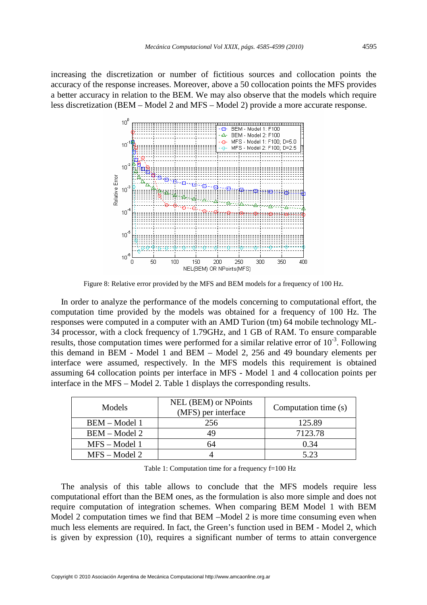increasing the discretization or number of fictitious sources and collocation points the accuracy of the response increases. Moreover, above a 50 collocation points the MFS provides a better accuracy in relation to the BEM. We may also observe that the models which require less discretization (BEM – Model 2 and MFS – Model 2) provide a more accurate response.



Figure 8: Relative error provided by the MFS and BEM models for a frequency of 100 Hz.

In order to analyze the performance of the models concerning to computational effort, the computation time provided by the models was obtained for a frequency of 100 Hz. The responses were computed in a computer with an AMD Turion (tm) 64 mobile technology ML-34 processor, with a clock frequency of 1.79GHz, and 1 GB of RAM. To ensure comparable results, those computation times were performed for a similar relative error of  $10^{-3}$ . Following this demand in BEM - Model 1 and BEM – Model 2, 256 and 49 boundary elements per interface were assumed, respectively. In the MFS models this requirement is obtained assuming 64 collocation points per interface in MFS - Model 1 and 4 collocation points per interface in the MFS – Model 2. Table 1 displays the corresponding results.

| Models          | NEL (BEM) or NPoints<br>(MFS) per interface | Computation time (s) |
|-----------------|---------------------------------------------|----------------------|
| BEM – Model 1   | 256                                         | 125.89               |
| BEM – Model 2   | 49                                          | 7123.78              |
| MFS - Model 1   | 64                                          | 0.34                 |
| $MFS - Model 2$ |                                             | 523                  |

Table 1: Computation time for a frequency f=100 Hz

The analysis of this table allows to conclude that the MFS models require less computational effort than the BEM ones, as the formulation is also more simple and does not require computation of integration schemes. When comparing BEM Model 1 with BEM Model 2 computation times we find that BEM –Model 2 is more time consuming even when much less elements are required. In fact, the Green's function used in BEM - Model 2, which is given by expression (10), requires a significant number of terms to attain convergence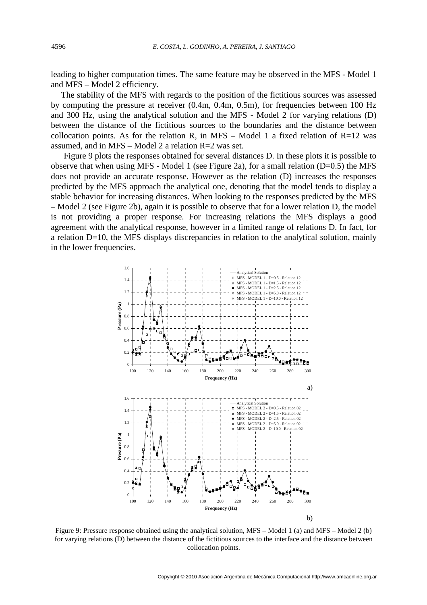leading to higher computation times. The same feature may be observed in the MFS - Model 1 and MFS – Model 2 efficiency.

The stability of the MFS with regards to the position of the fictitious sources was assessed by computing the pressure at receiver (0.4m, 0.4m, 0.5m), for frequencies between 100 Hz and 300 Hz, using the analytical solution and the MFS - Model 2 for varying relations (D) between the distance of the fictitious sources to the boundaries and the distance between collocation points. As for the relation R, in MFS – Model 1 a fixed relation of  $R=12$  was assumed, and in MFS – Model 2 a relation  $R=2$  was set.

Figure 9 plots the responses obtained for several distances D. In these plots it is possible to observe that when using MFS - Model 1 (see Figure 2a), for a small relation  $(D=0.5)$  the MFS does not provide an accurate response. However as the relation (D) increases the responses predicted by the MFS approach the analytical one, denoting that the model tends to display a stable behavior for increasing distances. When looking to the responses predicted by the MFS – Model 2 (see Figure 2b), again it is possible to observe that for a lower relation D, the model is not providing a proper response. For increasing relations the MFS displays a good agreement with the analytical response, however in a limited range of relations D. In fact, for a relation D=10, the MFS displays discrepancies in relation to the analytical solution, mainly in the lower frequencies.



Figure 9: Pressure response obtained using the analytical solution, MFS – Model 1 (a) and MFS – Model 2 (b) for varying relations (D) between the distance of the fictitious sources to the interface and the distance between collocation points.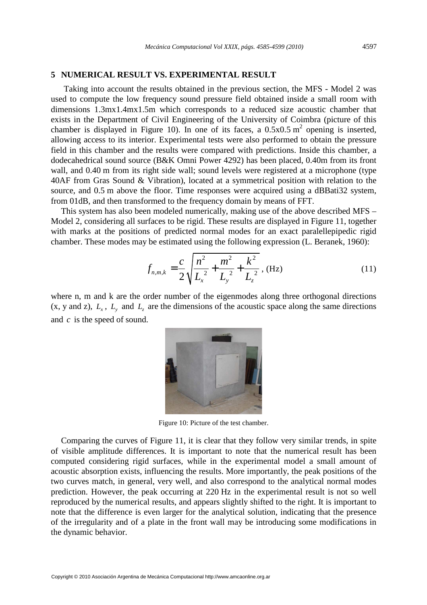# **5 NUMERICAL RESULT VS. EXPERIMENTAL RESULT**

Taking into account the results obtained in the previous section, the MFS - Model 2 was used to compute the low frequency sound pressure field obtained inside a small room with dimensions 1.3mx1.4mx1.5m which corresponds to a reduced size acoustic chamber that exists in the Department of Civil Engineering of the University of Coimbra (picture of this chamber is displayed in Figure 10). In one of its faces, a  $0.5x0.5$  m<sup>2</sup> opening is inserted, allowing access to its interior. Experimental tests were also performed to obtain the pressure field in this chamber and the results were compared with predictions. Inside this chamber, a dodecahedrical sound source (B&K Omni Power 4292) has been placed, 0.40m from its front wall, and 0.40 m from its right side wall; sound levels were registered at a microphone (type 40AF from Gras Sound & Vibration), located at a symmetrical position with relation to the source, and 0.5 m above the floor. Time responses were acquired using a dBBati32 system, from 01dB, and then transformed to the frequency domain by means of FFT.

This system has also been modeled numerically, making use of the above described MFS – Model 2, considering all surfaces to be rigid. These results are displayed in Figure 11, together with marks at the positions of predicted normal modes for an exact paralellepipedic rigid chamber. These modes may be estimated using the following expression (L. Beranek, 1960):

$$
f_{n,m,k} = \frac{c}{2} \sqrt{\frac{n^2}{L_x^2} + \frac{m^2}{L_y^2} + \frac{k^2}{L_z^2}} \,, \text{(Hz)} \tag{11}
$$

where n, m and k are the order number of the eigenmodes along three orthogonal directions  $(x, y \text{ and } z)$ ,  $L_x$ ,  $L_y$  and  $L_z$  are the dimensions of the acoustic space along the same directions and *c* is the speed of sound.



Figure 10: Picture of the test chamber.

Comparing the curves of Figure 11, it is clear that they follow very similar trends, in spite of visible amplitude differences. It is important to note that the numerical result has been computed considering rigid surfaces, while in the experimental model a small amount of acoustic absorption exists, influencing the results. More importantly, the peak positions of the two curves match, in general, very well, and also correspond to the analytical normal modes prediction. However, the peak occurring at 220 Hz in the experimental result is not so well reproduced by the numerical results, and appears slightly shifted to the right. It is important to note that the difference is even larger for the analytical solution, indicating that the presence of the irregularity and of a plate in the front wall may be introducing some modifications in the dynamic behavior.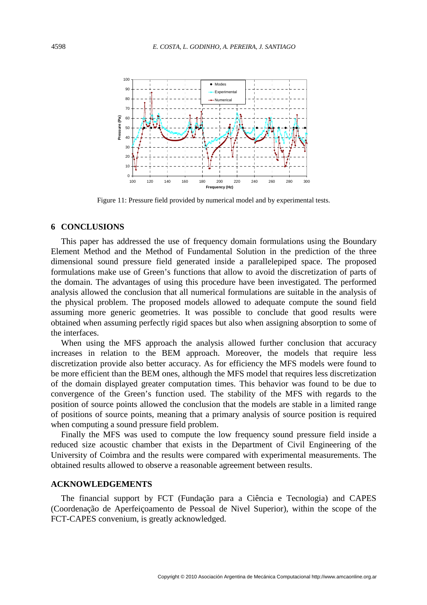

Figure 11: Pressure field provided by numerical model and by experimental tests.

### **6 CONCLUSIONS**

This paper has addressed the use of frequency domain formulations using the Boundary Element Method and the Method of Fundamental Solution in the prediction of the three dimensional sound pressure field generated inside a parallelepiped space. The proposed formulations make use of Green's functions that allow to avoid the discretization of parts of the domain. The advantages of using this procedure have been investigated. The performed analysis allowed the conclusion that all numerical formulations are suitable in the analysis of the physical problem. The proposed models allowed to adequate compute the sound field assuming more generic geometries. It was possible to conclude that good results were obtained when assuming perfectly rigid spaces but also when assigning absorption to some of the interfaces.

When using the MFS approach the analysis allowed further conclusion that accuracy increases in relation to the BEM approach. Moreover, the models that require less discretization provide also better accuracy. As for efficiency the MFS models were found to be more efficient than the BEM ones, although the MFS model that requires less discretization of the domain displayed greater computation times. This behavior was found to be due to convergence of the Green's function used. The stability of the MFS with regards to the position of source points allowed the conclusion that the models are stable in a limited range of positions of source points, meaning that a primary analysis of source position is required when computing a sound pressure field problem.

Finally the MFS was used to compute the low frequency sound pressure field inside a reduced size acoustic chamber that exists in the Department of Civil Engineering of the University of Coimbra and the results were compared with experimental measurements. The obtained results allowed to observe a reasonable agreement between results.

#### **ACKNOWLEDGEMENTS**

The financial support by FCT (Fundação para a Ciência e Tecnologia) and CAPES (Coordenação de Aperfeiçoamento de Pessoal de Nivel Superior), within the scope of the FCT-CAPES convenium, is greatly acknowledged.